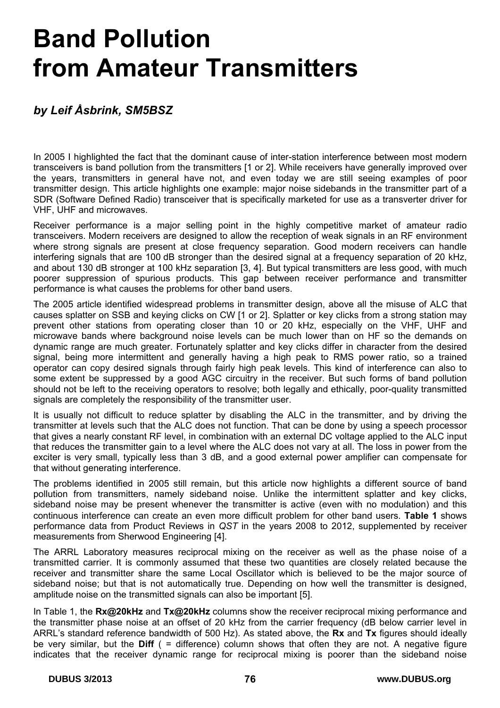# **Band Pollution from Amateur Transmitters**

# *by Leif Åsbrink, SM5BSZ*

In 2005 I highlighted the fact that the dominant cause of inter-station interference between most modern transceivers is band pollution from the transmitters [1 or 2]. While receivers have generally improved over the years, transmitters in general have not, and even today we are still seeing examples of poor transmitter design. This article highlights one example: major noise sidebands in the transmitter part of a SDR (Software Defined Radio) transceiver that is specifically marketed for use as a transverter driver for VHF, UHF and microwaves.

Receiver performance is a major selling point in the highly competitive market of amateur radio transceivers. Modern receivers are designed to allow the reception of weak signals in an RF environment where strong signals are present at close frequency separation. Good modern receivers can handle interfering signals that are 100 dB stronger than the desired signal at a frequency separation of 20 kHz, and about 130 dB stronger at 100 kHz separation [3, 4]. But typical transmitters are less good, with much poorer suppression of spurious products. This gap between receiver performance and transmitter performance is what causes the problems for other band users.

The 2005 article identified widespread problems in transmitter design, above all the misuse of ALC that causes splatter on SSB and keying clicks on CW [1 or 2]. Splatter or key clicks from a strong station may prevent other stations from operating closer than 10 or 20 kHz, especially on the VHF, UHF and microwave bands where background noise levels can be much lower than on HF so the demands on dynamic range are much greater. Fortunately splatter and key clicks differ in character from the desired signal, being more intermittent and generally having a high peak to RMS power ratio, so a trained operator can copy desired signals through fairly high peak levels. This kind of interference can also to some extent be suppressed by a good AGC circuitry in the receiver. But such forms of band pollution should not be left to the receiving operators to resolve; both legally and ethically, poor-quality transmitted signals are completely the responsibility of the transmitter user.

It is usually not difficult to reduce splatter by disabling the ALC in the transmitter, and by driving the transmitter at levels such that the ALC does not function. That can be done by using a speech processor that gives a nearly constant RF level, in combination with an external DC voltage applied to the ALC input that reduces the transmitter gain to a level where the ALC does not vary at all. The loss in power from the exciter is very small, typically less than 3 dB, and a good external power amplifier can compensate for that without generating interference.

The problems identified in 2005 still remain, but this article now highlights a different source of band pollution from transmitters, namely sideband noise. Unlike the intermittent splatter and key clicks, sideband noise may be present whenever the transmitter is active (even with no modulation) and this continuous interference can create an even more difficult problem for other band users. **Table 1** shows performance data from Product Reviews in *QST* in the years 2008 to 2012, supplemented by receiver measurements from Sherwood Engineering [4].

The ARRL Laboratory measures reciprocal mixing on the receiver as well as the phase noise of a transmitted carrier. It is commonly assumed that these two quantities are closely related because the receiver and transmitter share the same Local Oscillator which is believed to be the major source of sideband noise; but that is not automatically true. Depending on how well the transmitter is designed, amplitude noise on the transmitted signals can also be important [5].

In Table 1, the **Rx@20kHz** and **Tx@20kHz** columns show the receiver reciprocal mixing performance and the transmitter phase noise at an offset of 20 kHz from the carrier frequency (dB below carrier level in ARRL's standard reference bandwidth of 500 Hz). As stated above, the **Rx** and **Tx** figures should ideally be very similar, but the **Diff** ( = difference) column shows that often they are not. A negative figure indicates that the receiver dynamic range for reciprocal mixing is poorer than the sideband noise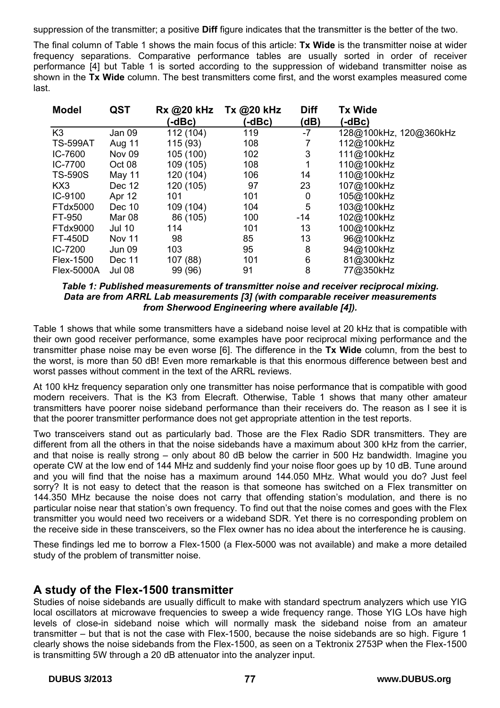suppression of the transmitter; a positive **Diff** figure indicates that the transmitter is the better of the two.

The final column of Table 1 shows the main focus of this article: **Tx Wide** is the transmitter noise at wider frequency separations. Comparative performance tables are usually sorted in order of receiver performance [4] but Table 1 is sorted according to the suppression of wideband transmitter noise as shown in the **Tx Wide** column. The best transmitters come first, and the worst examples measured come last.

| <b>Model</b>      | <b>QST</b>    | Rx @20 kHz<br>(-dBc) | Tx @20 kHz<br>(-dBc) | <b>Diff</b><br>(dB) | <b>Tx Wide</b><br>(-dBc) |
|-------------------|---------------|----------------------|----------------------|---------------------|--------------------------|
| K <sub>3</sub>    | Jan 09        | 112 (104)            | 119                  | $-7$                | 128@100kHz, 120@360kHz   |
| <b>TS-599AT</b>   | Aug 11        | 115 (93)             | 108                  | 7                   | 112@100kHz               |
| IC-7600           | <b>Nov 09</b> | 105 (100)            | 102                  | 3                   | 111@100kHz               |
| IC-7700           | Oct 08        | 109 (105)            | 108                  |                     | 110@100kHz               |
| <b>TS-590S</b>    | May 11        | 120 (104)            | 106                  | 14                  | 110@100kHz               |
| KX3               | Dec 12        | 120 (105)            | 97                   | 23                  | 107@100kHz               |
| IC-9100           | Apr 12        | 101                  | 101                  | 0                   | 105@100kHz               |
| FTdx5000          | Dec 10        | 109 (104)            | 104                  | 5                   | 103@100kHz               |
| FT-950            | Mar 08        | 86 (105)             | 100                  | $-14$               | 102@100kHz               |
| FTdx9000          | <b>Jul 10</b> | 114                  | 101                  | 13                  | 100@100kHz               |
| <b>FT-450D</b>    | <b>Nov 11</b> | 98                   | 85                   | 13                  | 96@100kHz                |
| IC-7200           | Jun 09        | 103                  | 95                   | 8                   | 94@100kHz                |
| Flex-1500         | Dec 11        | 107 (88)             | 101                  | 6                   | 81@300kHz                |
| <b>Flex-5000A</b> | <b>Jul 08</b> | 99 (96)              | 91                   | 8                   | 77@350kHz                |

*Table 1: Published measurements of transmitter noise and receiver reciprocal mixing. Data are from ARRL Lab measurements [3] (with comparable receiver measurements from Sherwood Engineering where available [4]).* 

Table 1 shows that while some transmitters have a sideband noise level at 20 kHz that is compatible with their own good receiver performance, some examples have poor reciprocal mixing performance and the transmitter phase noise may be even worse [6]. The difference in the **Tx Wide** column, from the best to the worst, is more than 50 dB! Even more remarkable is that this enormous difference between best and worst passes without comment in the text of the ARRL reviews.

At 100 kHz frequency separation only one transmitter has noise performance that is compatible with good modern receivers. That is the K3 from Elecraft. Otherwise, Table 1 shows that many other amateur transmitters have poorer noise sideband performance than their receivers do. The reason as I see it is that the poorer transmitter performance does not get appropriate attention in the test reports.

Two transceivers stand out as particularly bad. Those are the Flex Radio SDR transmitters. They are different from all the others in that the noise sidebands have a maximum about 300 kHz from the carrier, and that noise is really strong – only about 80 dB below the carrier in 500 Hz bandwidth. Imagine you operate CW at the low end of 144 MHz and suddenly find your noise floor goes up by 10 dB. Tune around and you will find that the noise has a maximum around 144.050 MHz. What would you do? Just feel sorry? It is not easy to detect that the reason is that someone has switched on a Flex transmitter on 144.350 MHz because the noise does not carry that offending station's modulation, and there is no particular noise near that station's own frequency. To find out that the noise comes and goes with the Flex transmitter you would need two receivers or a wideband SDR. Yet there is no corresponding problem on the receive side in these transceivers, so the Flex owner has no idea about the interference he is causing.

These findings led me to borrow a Flex-1500 (a Flex-5000 was not available) and make a more detailed study of the problem of transmitter noise.

# **A study of the Flex-1500 transmitter**

Studies of noise sidebands are usually difficult to make with standard spectrum analyzers which use YIG local oscillators at microwave frequencies to sweep a wide frequency range. Those YIG LOs have high levels of close-in sideband noise which will normally mask the sideband noise from an amateur transmitter – but that is not the case with Flex-1500, because the noise sidebands are so high. Figure 1 clearly shows the noise sidebands from the Flex-1500, as seen on a Tektronix 2753P when the Flex-1500 is transmitting 5W through a 20 dB attenuator into the analyzer input.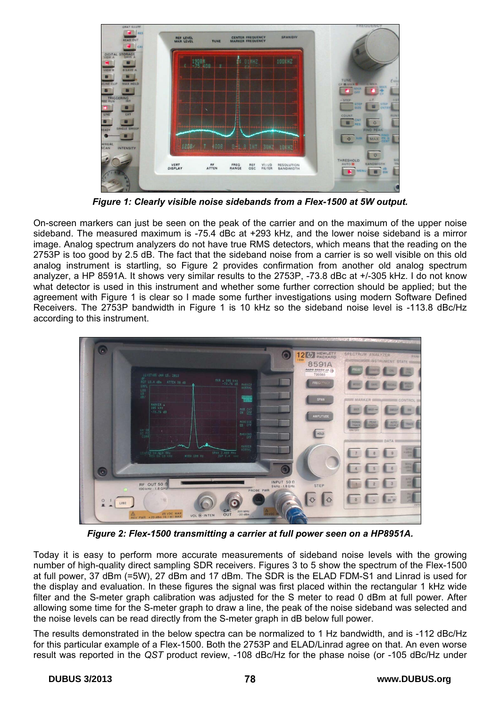

*Figure 1: Clearly visible noise sidebands from a Flex-1500 at 5W output.* 

On-screen markers can just be seen on the peak of the carrier and on the maximum of the upper noise sideband. The measured maximum is -75.4 dBc at +293 kHz, and the lower noise sideband is a mirror image. Analog spectrum analyzers do not have true RMS detectors, which means that the reading on the 2753P is too good by 2.5 dB. The fact that the sideband noise from a carrier is so well visible on this old analog instrument is startling, so Figure 2 provides confirmation from another old analog spectrum analyzer, a HP 8591A. It shows very similar results to the 2753P, -73.8 dBc at +/-305 kHz. I do not know what detector is used in this instrument and whether some further correction should be applied; but the agreement with Figure 1 is clear so I made some further investigations using modern Software Defined Receivers. The 2753P bandwidth in Figure 1 is 10 kHz so the sideband noise level is -113.8 dBc/Hz according to this instrument.



*Figure 2: Flex-1500 transmitting a carrier at full power seen on a HP8951A.* 

Today it is easy to perform more accurate measurements of sideband noise levels with the growing number of high-quality direct sampling SDR receivers. Figures 3 to 5 show the spectrum of the Flex-1500 at full power, 37 dBm (=5W), 27 dBm and 17 dBm. The SDR is the ELAD FDM-S1 and Linrad is used for the display and evaluation. In these figures the signal was first placed within the rectangular 1 kHz wide filter and the S-meter graph calibration was adjusted for the S meter to read 0 dBm at full power. After allowing some time for the S-meter graph to draw a line, the peak of the noise sideband was selected and the noise levels can be read directly from the S-meter graph in dB below full power.

The results demonstrated in the below spectra can be normalized to 1 Hz bandwidth, and is -112 dBc/Hz for this particular example of a Flex-1500. Both the 2753P and ELAD/Linrad agree on that. An even worse result was reported in the *QST* product review, -108 dBc/Hz for the phase noise (or -105 dBc/Hz under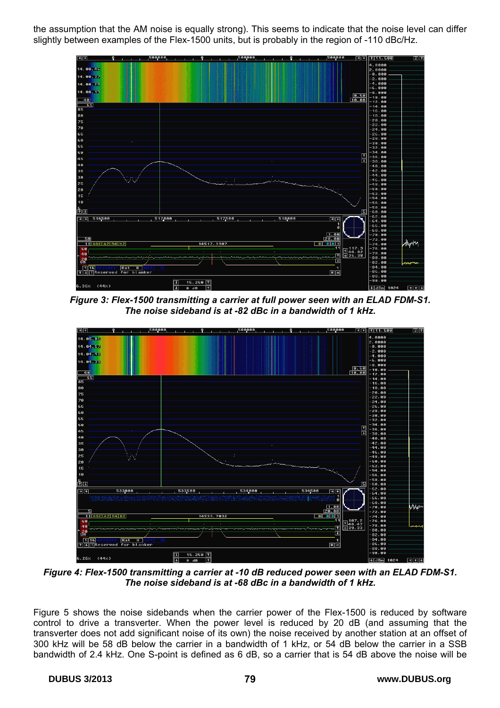the assumption that the AM noise is equally strong). This seems to indicate that the noise level can differ slightly between examples of the Flex-1500 units, but is probably in the region of -110 dBc/Hz.



*Figure 3: Flex-1500 transmitting a carrier at full power seen with an ELAD FDM-S1. The noise sideband is at -82 dBc in a bandwidth of 1 kHz.* 



*Figure 4: Flex-1500 transmitting a carrier at -10 dB reduced power seen with an ELAD FDM-S1. The noise sideband is at -68 dBc in a bandwidth of 1 kHz.* 

Figure 5 shows the noise sidebands when the carrier power of the Flex-1500 is reduced by software control to drive a transverter. When the power level is reduced by 20 dB (and assuming that the transverter does not add significant noise of its own) the noise received by another station at an offset of 300 kHz will be 58 dB below the carrier in a bandwidth of 1 kHz, or 54 dB below the carrier in a SSB bandwidth of 2.4 kHz. One S-point is defined as 6 dB, so a carrier that is 54 dB above the noise will be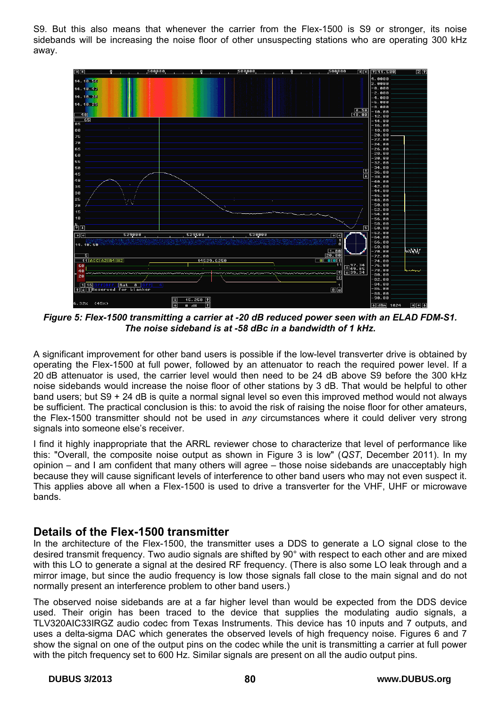S9. But this also means that whenever the carrier from the Flex-1500 is S9 or stronger, its noise sidebands will be increasing the noise floor of other unsuspecting stations who are operating 300 kHz away.



*Figure 5: Flex-1500 transmitting a carrier at -20 dB reduced power seen with an ELAD FDM-S1. The noise sideband is at -58 dBc in a bandwidth of 1 kHz.* 

A significant improvement for other band users is possible if the low-level transverter drive is obtained by operating the Flex-1500 at full power, followed by an attenuator to reach the required power level. If a 20 dB attenuator is used, the carrier level would then need to be 24 dB above S9 before the 300 kHz noise sidebands would increase the noise floor of other stations by 3 dB. That would be helpful to other band users; but S9 + 24 dB is quite a normal signal level so even this improved method would not always be sufficient. The practical conclusion is this: to avoid the risk of raising the noise floor for other amateurs, the Flex-1500 transmitter should not be used in *any* circumstances where it could deliver very strong signals into someone else's receiver.

I find it highly inappropriate that the ARRL reviewer chose to characterize that level of performance like this: "Overall, the composite noise output as shown in Figure 3 is low" (*QST*, December 2011). In my opinion – and I am confident that many others will agree – those noise sidebands are unacceptably high because they will cause significant levels of interference to other band users who may not even suspect it. This applies above all when a Flex-1500 is used to drive a transverter for the VHF, UHF or microwave bands.

#### **Details of the Flex-1500 transmitter**

In the architecture of the Flex-1500, the transmitter uses a DDS to generate a LO signal close to the desired transmit frequency. Two audio signals are shifted by 90° with respect to each other and are mixed with this LO to generate a signal at the desired RF frequency. (There is also some LO leak through and a mirror image, but since the audio frequency is low those signals fall close to the main signal and do not normally present an interference problem to other band users.)

The observed noise sidebands are at a far higher level than would be expected from the DDS device used. Their origin has been traced to the device that supplies the modulating audio signals, a TLV320AIC33IRGZ audio codec from Texas Instruments. This device has 10 inputs and 7 outputs, and uses a delta-sigma DAC which generates the observed levels of high frequency noise. Figures 6 and 7 show the signal on one of the output pins on the codec while the unit is transmitting a carrier at full power with the pitch frequency set to 600 Hz. Similar signals are present on all the audio output pins.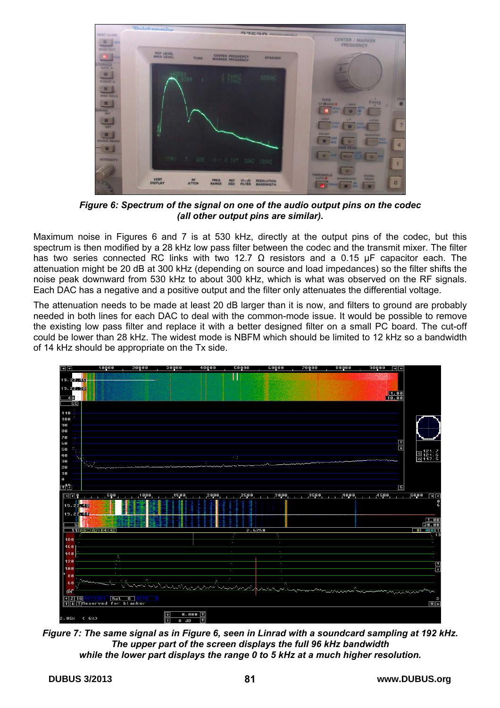

*Figure 6: Spectrum of the signal on one of the audio output pins on the codec (all other output pins are similar).* 

Maximum noise in Figures 6 and 7 is at 530 kHz, directly at the output pins of the codec, but this spectrum is then modified by a 28 kHz low pass filter between the codec and the transmit mixer. The filter has two series connected RC links with two 12.7  $\Omega$  resistors and a 0.15 µF capacitor each. The attenuation might be 20 dB at 300 kHz (depending on source and load impedances) so the filter shifts the noise peak downward from 530 kHz to about 300 kHz, which is what was observed on the RF signals. Each DAC has a negative and a positive output and the filter only attenuates the differential voltage.

The attenuation needs to be made at least 20 dB larger than it is now, and filters to ground are probably needed in both lines for each DAC to deal with the common-mode issue. It would be possible to remove the existing low pass filter and replace it with a better designed filter on a small PC board. The cut-off could be lower than 28 kHz. The widest mode is NBFM which should be limited to 12 kHz so a bandwidth of 14 kHz should be appropriate on the Tx side.



*Figure 7: The same signal as in Figure 6, seen in Linrad with a soundcard sampling at 192 kHz. The upper part of the screen displays the full 96 kHz bandwidth while the lower part displays the range 0 to 5 kHz at a much higher resolution.*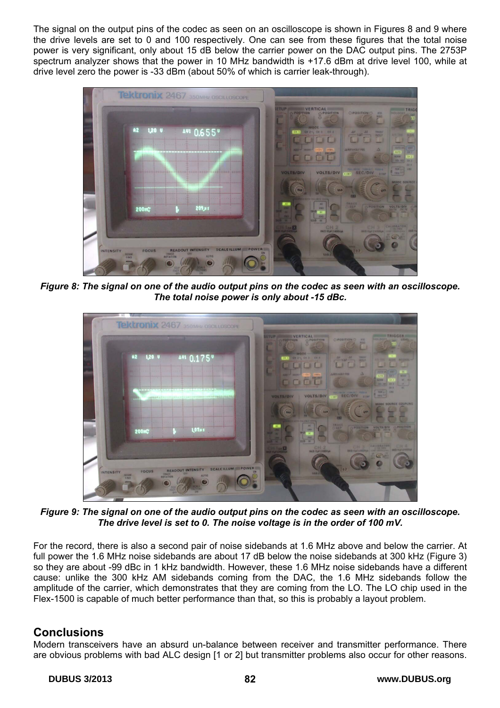The signal on the output pins of the codec as seen on an oscilloscope is shown in Figures 8 and 9 where the drive levels are set to 0 and 100 respectively. One can see from these figures that the total noise power is very significant, only about 15 dB below the carrier power on the DAC output pins. The 2753P spectrum analyzer shows that the power in 10 MHz bandwidth is +17.6 dBm at drive level 100, while at drive level zero the power is -33 dBm (about 50% of which is carrier leak-through).



*Figure 8: The signal on one of the audio output pins on the codec as seen with an oscilloscope. The total noise power is only about -15 dBc.* 



*Figure 9: The signal on one of the audio output pins on the codec as seen with an oscilloscope. The drive level is set to 0. The noise voltage is in the order of 100 mV.* 

For the record, there is also a second pair of noise sidebands at 1.6 MHz above and below the carrier. At full power the 1.6 MHz noise sidebands are about 17 dB below the noise sidebands at 300 kHz (Figure 3) so they are about -99 dBc in 1 kHz bandwidth. However, these 1.6 MHz noise sidebands have a different cause: unlike the 300 kHz AM sidebands coming from the DAC, the 1.6 MHz sidebands follow the amplitude of the carrier, which demonstrates that they are coming from the LO. The LO chip used in the Flex-1500 is capable of much better performance than that, so this is probably a layout problem.

# **Conclusions**

Modern transceivers have an absurd un-balance between receiver and transmitter performance. There are obvious problems with bad ALC design [1 or 2] but transmitter problems also occur for other reasons.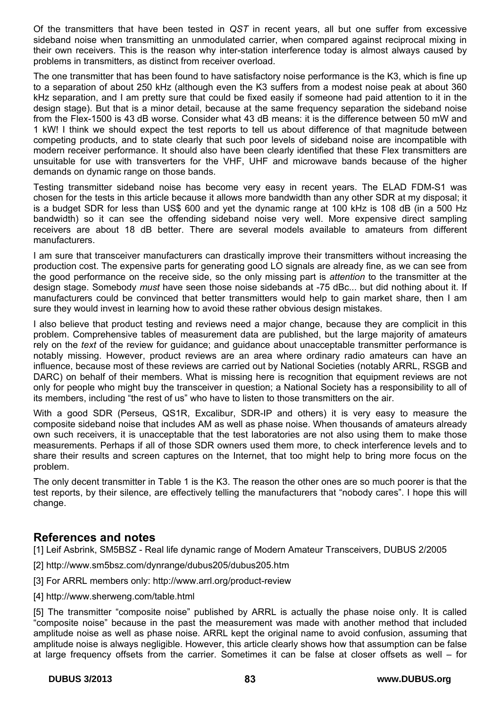Of the transmitters that have been tested in *QST* in recent years, all but one suffer from excessive sideband noise when transmitting an unmodulated carrier, when compared against reciprocal mixing in their own receivers. This is the reason why inter-station interference today is almost always caused by problems in transmitters, as distinct from receiver overload.

The one transmitter that has been found to have satisfactory noise performance is the K3, which is fine up to a separation of about 250 kHz (although even the K3 suffers from a modest noise peak at about 360 kHz separation, and I am pretty sure that could be fixed easily if someone had paid attention to it in the design stage). But that is a minor detail, because at the same frequency separation the sideband noise from the Flex-1500 is 43 dB worse. Consider what 43 dB means: it is the difference between 50 mW and 1 kW! I think we should expect the test reports to tell us about difference of that magnitude between competing products, and to state clearly that such poor levels of sideband noise are incompatible with modern receiver performance. It should also have been clearly identified that these Flex transmitters are unsuitable for use with transverters for the VHF, UHF and microwave bands because of the higher demands on dynamic range on those bands.

Testing transmitter sideband noise has become very easy in recent years. The ELAD FDM-S1 was chosen for the tests in this article because it allows more bandwidth than any other SDR at my disposal; it is a budget SDR for less than US\$ 600 and yet the dynamic range at 100 kHz is 108 dB (in a 500 Hz bandwidth) so it can see the offending sideband noise very well. More expensive direct sampling receivers are about 18 dB better. There are several models available to amateurs from different manufacturers.

I am sure that transceiver manufacturers can drastically improve their transmitters without increasing the production cost. The expensive parts for generating good LO signals are already fine, as we can see from the good performance on the receive side, so the only missing part is *attention* to the transmitter at the design stage. Somebody *must* have seen those noise sidebands at -75 dBc... but did nothing about it. If manufacturers could be convinced that better transmitters would help to gain market share, then I am sure they would invest in learning how to avoid these rather obvious design mistakes.

I also believe that product testing and reviews need a major change, because they are complicit in this problem. Comprehensive tables of measurement data are published, but the large majority of amateurs rely on the *text* of the review for guidance; and guidance about unacceptable transmitter performance is notably missing. However, product reviews are an area where ordinary radio amateurs can have an influence, because most of these reviews are carried out by National Societies (notably ARRL, RSGB and DARC) on behalf of their members. What is missing here is recognition that equipment reviews are not only for people who might buy the transceiver in question; a National Society has a responsibility to all of its members, including "the rest of us" who have to listen to those transmitters on the air.

With a good SDR (Perseus, QS1R, Excalibur, SDR-IP and others) it is very easy to measure the composite sideband noise that includes AM as well as phase noise. When thousands of amateurs already own such receivers, it is unacceptable that the test laboratories are not also using them to make those measurements. Perhaps if all of those SDR owners used them more, to check interference levels and to share their results and screen captures on the Internet, that too might help to bring more focus on the problem.

The only decent transmitter in Table 1 is the K3. The reason the other ones are so much poorer is that the test reports, by their silence, are effectively telling the manufacturers that "nobody cares". I hope this will change.

# **References and notes**

[1] Leif Asbrink, SM5BSZ - Real life dynamic range of Modern Amateur Transceivers, DUBUS 2/2005

- [2] http://www.sm5bsz.com/dynrange/dubus205/dubus205.htm
- [3] For ARRL members only: http://www.arrl.org/product-review
- [4] http://www.sherweng.com/table.html

[5] The transmitter "composite noise" published by ARRL is actually the phase noise only. It is called "composite noise" because in the past the measurement was made with another method that included amplitude noise as well as phase noise. ARRL kept the original name to avoid confusion, assuming that amplitude noise is always negligible. However, this article clearly shows how that assumption can be false at large frequency offsets from the carrier. Sometimes it can be false at closer offsets as well – for